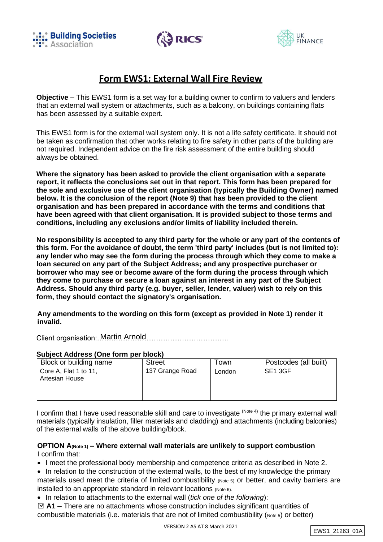





# **Form EWS1: External Wall Fire Review**

**Objective –** This EWS1 form is a set way for a building owner to confirm to valuers and lenders that an external wall system or attachments, such as a balcony, on buildings containing flats has been assessed by a suitable expert.

This EWS1 form is for the external wall system only. It is not a life safety certificate. It should not be taken as confirmation that other works relating to fire safety in other parts of the building are not required. Independent advice on the fire risk assessment of the entire building should always be obtained.

**Where the signatory has been asked to provide the client organisation with a separate report, it reflects the conclusions set out in that report. This form has been prepared for the sole and exclusive use of the client organisation (typically the Building Owner) named below. It is the conclusion of the report (Note 9) that has been provided to the client organisation and has been prepared in accordance with the terms and conditions that have been agreed with that client organisation. It is provided subject to those terms and conditions, including any exclusions and/or limits of liability included therein.**

**No responsibility is accepted to any third party for the whole or any part of the contents of this form. For the avoidance of doubt, the term 'third party' includes (but is not limited to): any lender who may see the form during the process through which they come to make a loan secured on any part of the Subject Address; and any prospective purchaser or borrower who may see or become aware of the form during the process through which they come to purchase or secure a loan against an interest in any part of the Subject Address. Should any third party (e.g. buyer, seller, lender, valuer) wish to rely on this form, they should contact the signatory's organisation.**

**Any amendments to the wording on this form (except as provided in Note 1) render it invalid.**

Client organisation:……………………………………………….. Martin Arnold

#### **Subject Address (One form per block)**

| Block or building name                  | <b>Street</b>   | Town   | Postcodes (all built) |
|-----------------------------------------|-----------------|--------|-----------------------|
| Core A, Flat 1 to 11,<br>Artesian House | 137 Grange Road | London | SE1 3GF               |

I confirm that I have used reasonable skill and care to investigate <sup>(Note 4)</sup> the primary external wall materials (typically insulation, filler materials and cladding) and attachments (including balconies) of the external walls of the above building/block.

## **OPTION A(Note 1) – Where external wall materials are unlikely to support combustion** I confirm that:

• I meet the professional body membership and competence criteria as described in Note 2.

- In relation to the construction of the external walls, to the best of my knowledge the primary materials used meet the criteria of limited combustibility (Note 5) or better, and cavity barriers are installed to an appropriate standard in relevant locations (Note 6).
- In relation to attachments to the external wall (*tick one of the following*):

□ **A1 –** There are no attachments whose construction includes significant quantities of combustible materials (i.e. materials that are not of limited combustibility (Note 5) or better)

EWS1\_21263\_01A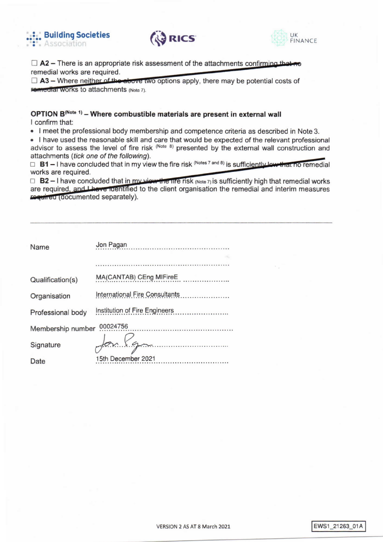





 $\Box$  A2 – There is an appropriate risk assessment of the attachments confirming that no remedial works are required.

 $\Box$  A3 – Where neither of the above two options apply, there may be potential costs of Fornedial Works to attachments (Note 7).

# OPTION B(Note 1) - Where combustible materials are present in external wall I confirm that:

. I meet the professional body membership and competence criteria as described in Note 3.

. I have used the reasonable skill and care that would be expected of the relevant professional advisor to assess the level of fire risk (Note 8) presented by the external wall construction and attachments (tick one of the following).

 $\Box$  B1 – I have concluded that in my view the fire risk (Notes 7 and 8) is sufficiently low that no remedial works are required.

 $\Box$  B2 - I have concluded that in my view the fire risk (Note 7) is sufficiently high that remedial works are required, and there inentified to the client organisation the remedial and interim measures required (documented separately).

| Name                          |                                |  |
|-------------------------------|--------------------------------|--|
|                               |                                |  |
| Qualification(s)              | MA(CANTAB) CEng MIFireE        |  |
| Organisation                  | International Fire Consultants |  |
| Professional body             |                                |  |
| 00024756<br>Membership number |                                |  |
| Signature                     | 6                              |  |
| Date                          | 15th December 2021             |  |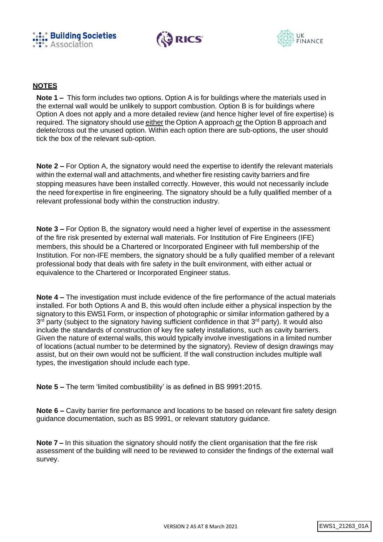





# **NOTES**

**Note 1 –** This form includes two options. Option A is for buildings where the materials used in the external wall would be unlikely to support combustion. Option B is for buildings where Option A does not apply and a more detailed review (and hence higher level of fire expertise) is required. The signatory should use either the Option A approach or the Option B approach and delete/cross out the unused option. Within each option there are sub-options, the user should tick the box of the relevant sub-option.

**Note 2 –** For Option A, the signatory would need the expertise to identify the relevant materials within the external wall and attachments, and whether fire resisting cavity barriers and fire stopping measures have been installed correctly. However, this would not necessarily include the need forexpertise in fire engineering. The signatory should be a fully qualified member of a relevant professional body within the construction industry.

**Note 3 –** For Option B, the signatory would need a higher level of expertise in the assessment of the fire risk presented by external wall materials. For Institution of Fire Engineers (IFE) members, this should be a Chartered or Incorporated Engineer with full membership of the Institution. For non-IFE members, the signatory should be a fully qualified member of a relevant professional body that deals with fire safety in the built environment, with either actual or equivalence to the Chartered or Incorporated Engineer status.

**Note 4 –** The investigation must include evidence of the fire performance of the actual materials installed. For both Options A and B, this would often include either a physical inspection by the signatory to this EWS1 Form, or inspection of photographic or similar information gathered by a 3<sup>rd</sup> party (subject to the signatory having sufficient confidence in that 3<sup>rd</sup> party). It would also include the standards of construction of key fire safety installations, such as cavity barriers. Given the nature of external walls, this would typically involve investigations in a limited number of locations (actual number to be determined by the signatory). Review of design drawings may assist, but on their own would not be sufficient. If the wall construction includes multiple wall types, the investigation should include each type.

**Note 5 –** The term 'limited combustibility' is as defined in BS 9991:2015.

**Note 6 –** Cavity barrier fire performance and locations to be based on relevant fire safety design guidance documentation, such as BS 9991, or relevant statutory guidance.

**Note 7 –** In this situation the signatory should notify the client organisation that the fire risk assessment of the building will need to be reviewed to consider the findings of the external wall survey.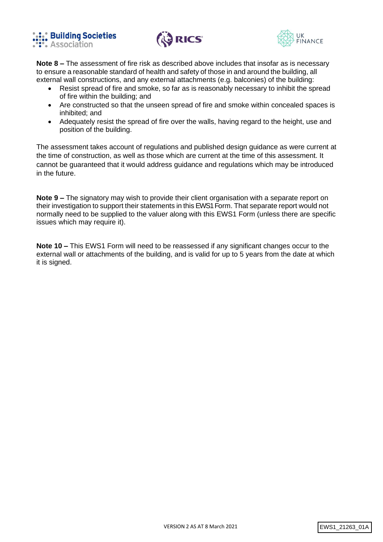





**Note 8 –** The assessment of fire risk as described above includes that insofar as is necessary to ensure a reasonable standard of health and safety of those in and around the building, all external wall constructions, and any external attachments (e.g. balconies) of the building:

- Resist spread of fire and smoke, so far as is reasonably necessary to inhibit the spread of fire within the building; and
- Are constructed so that the unseen spread of fire and smoke within concealed spaces is inhibited; and
- Adequately resist the spread of fire over the walls, having regard to the height, use and position of the building.

The assessment takes account of regulations and published design guidance as were current at the time of construction, as well as those which are current at the time of this assessment. It cannot be guaranteed that it would address guidance and regulations which may be introduced in the future.

**Note 9 –** The signatory may wish to provide their client organisation with a separate report on their investigation to support their statements in this EWS1 Form. That separate report would not normally need to be supplied to the valuer along with this EWS1 Form (unless there are specific issues which may require it).

**Note 10 –** This EWS1 Form will need to be reassessed if any significant changes occur to the external wall or attachments of the building, and is valid for up to 5 years from the date at which it is signed.